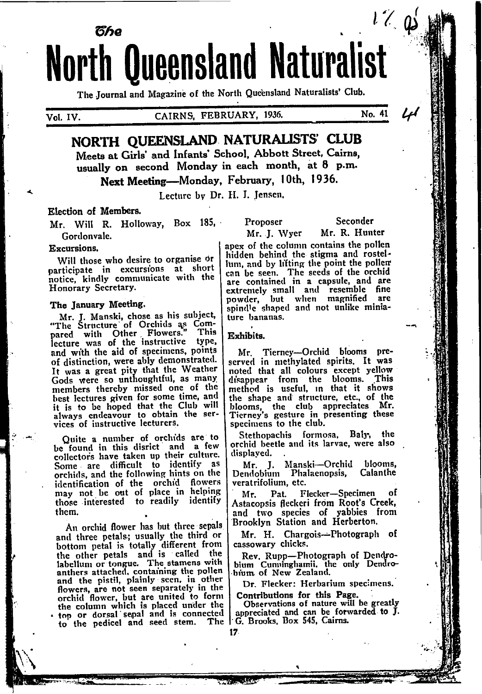# $l \mathrel{{\mathcal L}}_{\cdot} {\mathfrak{a}}$ წჩი **North Queensland Naturalist**

The Journal and Magazine of the North Queensland Naturalists' Club.

Vol. IV.

# CAIRNS, FEBRUARY, 1936.

No. 41

# NORTH QUEENSLAND NATURALISTS' CLUB Meets at Girls' and Infants' School, Abbott Street, Cairns,

usually on second Monday in each month, at 8 p.m. Next Meeting-Monday, February, 10th, 1936.

Lecture by Dr. H. I. Jensen.

# Election of Members.

Mr. Will R. Holloway, Box 185, Gordonvale.

#### Excursions.

Will those who desire to organise or participate in excursions at short notice, kindly communicate with the Honorary Secretary.

# The January Meeting.

Mr. J. Manski, chose as his subject, "The Structure of Orchids as Compared with Other Flowers."<br>lecture was of the instructive This type. and with the aid of specimens, points of distinction, were ably demonstrated. It was a great pity that the Weather Gods were so unthoughtful, as many members thereby missed one of the best lectures given for some time, and it is to be hoped that the Club will always endeavour to obtain the services of instructive lecturers.

Quite a number of orchids are to be found in this disrict and a few collectors have taken up their culture. Some are difficult to identify as orchids, and the following hints on the identification of the orchid flowers may not be out of place in helping those interested to readily identify them.

An orchid flower has but three sepals and three petals; usually the third or bottom petal is totally different from the other petals and is called the labellum or tongue. The stamens with anthers attached, containing the pollen and the pistil, plainly seen, in other flowers, are not seen separately in the orchid flower, but are united to form<br>the column which is placed under the top or dorsal sepal and is connected to the pedicel and seed stem.

Proposer

Seconder Mr. R. Hunter

Mr. J. Wyer apex of the column contains the pollen hidden behind the stigma and rostellum, and by lifting the point the pollem can be seen. The seeds of the orchid<br>are contained in a capsule, and are extremely small and resemble fine<br>powder, but when magnified are<br>spindle shaped and not unlike miniature bananas.

Exhibits.

17.

Mr. Tierney-Orchid blooms prenoted that all colours except yellow<br>disappear from the blooms. This<br>method is useful, in that it shows the shape and structure, etc., of the blooms, the club appreciates Mr.<br>Tierney's gesture in presenting these specimens to the club.

Stethopachis formosa, Baly, the orchid beetle and its larvae, were also displaved.

Mr. J. Manski-Orchid blooms,<br>Dendobium Phalaenopsis, Calanthe veratrifolium, etc.

Pat. Flecker-Specimen оf Мτ. Astacopsis fleckeri from Root's Creek, and two species of yabbies from<br>Brooklyn Station and Herberton.

Mr. H. Chargois-Photograph of cassowary chicks.

Rev. Rupp-Photograph of Dendrobium Cunninghamii, the only Dendrobium of New Zealand.

Dr. Flecker: Herbarium specimens.

Contributions for this Page. Observations of nature will be greatly ected appreciated and can be forwarded to J.<br>The G. Brooks, Box 545, Cairns.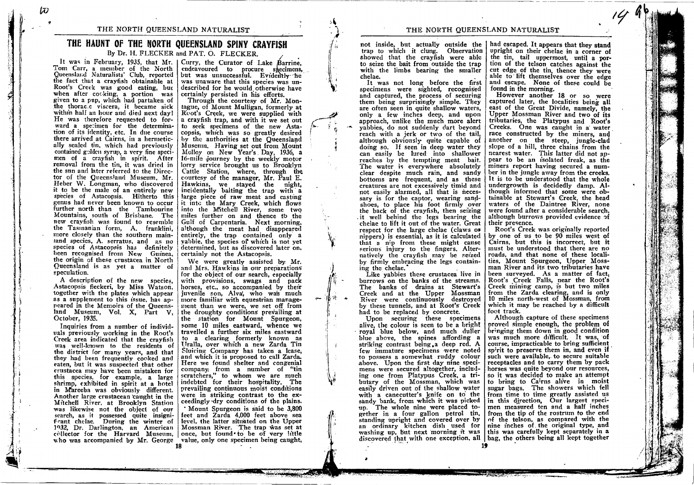### THE NORTH QUEENSLAND NATURALIST

# THE HAUNT OF THE NORTH QUEENSLAND SPINY CRAYFISH

By Dr. H. FLECKER and PAT. O. FLECKER.

Tom Carr, a member of the North Oueensland Naturalists' Club, reported but was unsuccessful. Evidently he the fact that a crayfish obtainable at Root's Creek was good eating, but when after cocking, a portion was<br>given to a pup, which had partaken of the thoracle viscera, it became sick within half an hour and died next day! He was therefore requested to forward a specimen for the determination of its identity, etc. In due course there arrived at Cairns, in a hermetically sealed tin, which had previously contained golden syrup, a very fine specimen of a crayfish in spirit. After removal from the tin. it was dried in the sun and later referred to the Director of the Queensland Museum, Mr. Heber W. Longman, who discovered it to be the male of an entirely new species of Astacopsis. Hitherto this genus had never been known to occur further north than the Tambourine Mountains, south of Brisbane. The new crayfish was found to resemble the Tasmanian form, A. franklini. more closely than the southern maintand species, A. serratus, and as no species of Astacopsis has definitely been recognised from New Guinea. the origin of these crustacea in North Queensland is as yet a matter of speculation.

A description of the new species, Astacopsis fleckeri, by Miss Watson, together with the plates which appear as a supplement to this issue, has appeared in the Memoirs of the Oueensland Museum, Vol. X. Part V. October, 1935.

Inquiries from a number of individuals previously working in the Root's Creek area indicated that the cravfish was well-known to the residents of the district for many years, and that they had been frequently cooked and eaten, but it was suspected that other crustacea may have been mistaken for this species, for example, a large shrimp, exhibited in spirit at a hotel in Mareeba was obviously different. Another large crustacean caught in the Mitchell River, at Brooklyn Station was likewise not the object of our search, as it possessed quite insignifrant chelae. During the winter of 1932, Dr. Darlington, an American | Mossman River. The trap was set at collector for the Harvard Museum, once, but found to be of very little who was accompanied by Mr. George value, only one specimen being caught,

It was in February, 1935, that Mr. | Curry, the Curator of Lake Barrine. endeavoured to procure shecimens, was unaware that this species was undescribed for he would otherwise have certainly persisted in his efforts.

Through the courtesy of Mr. Montague, of Mount Mulligan, formerly at Root's Creek, we were supplied with a crayfish trap, and with it we set out to seek specimens of the new Astacopsis, which was so greatly desired by the authorities at the Queensland Museum. Having set out from Mount<br>Molloy on New Year's Day, 1936, a 16-mile journey by the weekly motor lorry service brought us to Brooklyn Cattle Station, where, through the courtesy of the manager, Mr. Paul E. Hawkins, we stayed the night, incidentally baiting the trap with a large piece of raw meat and casting it into the Mary Creek, which flows into the Mitchell River. some two miles further on and thence to the Gulf of Carpentaria. Next morning, although the meat had disappeared entirely, the trap contained only a vabbie, the species of which is not yet determined, but as discovered later on, certainly not the Astacopsis.

We were greatly assisted by Mr. and Mrs. Hawkins in our preparations for the object of our search, especially with provisions, swags and pack horses, etc., so accompanied by their juvenile son, Alva', who wa's much more familiar with equestrian management than we were, we set off from the droughty conditions prevailing at the station for Mount Spurgeon. some 10 miles eastward, whence we travelled a further six miles eastward to a clearing formerly known as Uralla, over which a new Zarda Tin Sluicing Company has taken a lease. and which it is proposed to call Zarda. Here we found shelter and congenial company from a number of "tin<br>scratchers," to whom we are much indebted for their hospitality. The prevailing continuous moist conditions were in striking contrast to the exceedingly dry conditions of the plains.

' Mount Spurgeon is said to be 3,800 feet and Zarda 4,000 feet above sea level, the latter situated on the Upper

trap to which it clung. Observation showed that the crayfish were able to seize the bait from outside the trap with the limbs bearing the smaller chelae.

It was not long before the first specimens were sighted, recognised and captured, the process of securing them being surprisingly simple. They are often seen in quite shallow waters. only a few inches deep, and upon approach, unlike the much more alert vabbies, do not suddenly dart beyond reach with a jerk or two of the tail, although obviously quite capable of doing so. If seen in deep water they can easily be lured into shallower reaches by the tempting meat bait. The water is everywhere absolutely clear despite much rain, and sandy bottoms are frequent, and as these creatures are not excessively timid and not easily alarmed, all that is necessary is for the captor, wearing sandshoes, to place his foot firmly over the back of the cravfish, then seizing it well behind the legs bearing the chelae to lift it out of the water. Great respect for the large chelae (claws or ninners) is essential, as it is calculated that a nip from these might cause serious injury to the fingers. Alternatively the cravfish may be seized by firmly embracing the legs containing the chelae.

Like vabbies these crustacea live in burrows on the banks of the streams. The banks of drains at Stewart's Creek and at the Upper Mossman River were continuously destroyed by these tunnels, and at Root's Creek had to be replaced by concrete.

Upon securing these specimens alive, the colour is seen to be a bright royal blue below, and much duller blue above, the spines affording a striking contrast being a deep red. A few immature specimens were noted to possess a somewhat ruddy colour above. Upon the first day nine specimens were secured altogether, including one from Platypus Creek, a tributary of the Mossman, which was easily driven out of the shallow water with a canecutter's knife on to the sandy bank, from which it was picked up. The whole nine were placed together in a four gallon petrol tin, standing upright and covered over by an ordinary kitchen dish used for washing up, but next morning it was

not inside, but actually outside the | had escaped. It appears that they stand upright on their chelae in a corner of the tin. tail uppermost, until a portion of the telson catches against the cut edge of the tin, thence they were able to lift themselves over the edge and escape. None of these could be found in the morning.

However another 18 or so were captured later, the localities being all east of the Great Divide, namely, the Upper Mossman River and two of its tributaries, the Platypus and Root's Creeks. One was caught in a water race constructed by the miners, and another on the steep, jungle-clad slope of a hill, three chains from the nearest water. This latter did not appear to be an isolated freak, as the miners report having secured a number in the jungle away from the creeks. It is to be understood that the whole undergrowth is decidedly damp. Although informed that some were obtainable at Stewart's Creek, the head waters of the Daintree River, none were found after a considerable search, although burrows provided evidence of their presence.

Root's Creek was originally reported by one of us to be 90 miles west of Cairns, but this is incorrect, but it must be understood that there are no roads, and that none of these localities, Mount Spurgeon, Upper Mossman River and its two tributaries have been surveyed. As a matter of fact. Root's Creek Falls, near the Root's Creek mining camp, is but two miles from the Zarda clearing, and is only 10 miles north-west of Mossman, from which it may be reached by a difficult foot track.

Although capture of these specimens proved simple enough, the problem of bringing them down in good condition was much more difficult. It was, of course, impracticable to bring sufficient spirit to preserve them in, and even if such were available, to secure suitable receptacles and to carry them by pack horses was quite beyond our resources, so it was decided to make an attempt to bring to Cairns alive in moist sugar bags. The showers which fell from time to time greatly assisted us in this direction. Our largest specimen measured ten and a half inches from the tip of the rostrum to the end of the telson, as compared with the nine inches of the original type, and this was carefully kept separately in a discovered that with one exception, all | bag, the others being all kept together